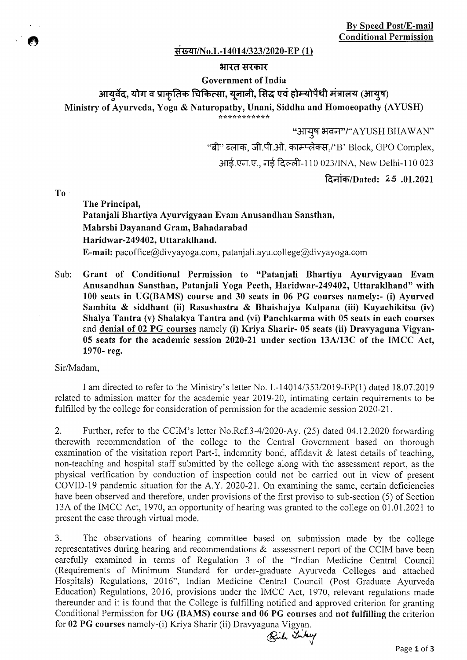### संख्या/No.L-14014/323/2020-EP (1)

### **भारत सरकार**

### **Government of India**

# आयुर्वेद, योग व प्राकृतिक चिकित्सा, युनानी, सिद्ध एवं होम्योपैथी मंत्रालय (आयुष)

**Ministry of Ayurveda, Yoga & Naturopathy, Unani, Siddha and Homoeopathy (AYUSH)** 

\*\*\*\*\*\*\*\*\*\*\*

"आयुष भवन"/"AYUSH BHAWAN"

"बी" ब्लाक, जी.पी.ओ. काम्प्लेक्स,/'B' Block, GPO Complex,

आई.एन.ए., नई दिल्ली-110 023/INA, New Delhi-110 023

1~oiiq,/Dated: *25* .01.2021

**To** 

**The Principal, Patanjali Bhartiya Ayurvigyaan Evam Anusandhan Sansthan, Mahrshi Dayanand Gram, Bahadarabad Haridwar-249402, Uttaraklhand.**  E-mail: pacoffice@divyayoga.com, patanjali.ayu.college@divyayoga.com

Sub: **Grant of Conditional Permission to "Patanjali Bhartiya Ayurvigyaan Evam Anusandhan Sansthan, Patanjali Yoga Peeth, IIaridwar-249402, Uttaraklhand" with 100 seats in UG(BAMS) course and 30 seats in 06 PG courses namely:- (i) Ayurved Samhita & siddhant (ii) Rasashastra & Bhaishajya Kalpana (iii) Kayachikitsa (iv) Shalya Tantra (v) Shalakya Tantra and (vi) Panchkarma with 05 seats in each courses and denial of 02 PG courses** namely **(1) Kriya Sharir- 05 seats (ii) Dravyaguna Vigyan-05 seats for the academic session 2020-21 under section 13A/13C of the IMCC Act, 1970- reg.** 

Sir/Madam,

I am directed to refer to the Ministry's letter No. *L-14014/353/2019-EP(1)* dated 18.07.2019 related to admission matter for the academic year 2019-20, intimating certain requirements to be fulfilled by the college for consideration of permission for the academic session 2020-21.

2. Further, refer to the CCIM's letter No.Ref.3-4/2020-Ay. *(25)* dated 04.12.2020 forwarding therewith recommendation of the college to the Central Government based on thorough examination of the visitation report Part-I, indemnity bond, affidavit & latest details of teaching, non-teaching and hospital staff submitted by the college along with the assessment report, as the physical verification by conduction of inspection could not be carried out in view of present COVID-19 pandemic situation for the A.Y. 2020-21. On examining the same, certain deficiencies have been observed and therefore, under provisions of the first proviso to sub-section *(5)* of Section 13A of the IMCC Act, 1970, an opportunity of hearing was granted to the college on 01.01.2021 to present the case through virtual mode.

3. The observations of hearing committee based on submission made by the college representatives during hearing and recommendations & assessment report of the CCIM have been carefully examined in terms of Regulation 3 of the "Indian Medicine Central Council (Requirements of Minimum Standard for under-graduate Ayurveda Colleges and attached Hospitals) Regulations, 2016", Indian Medicine Central Council (Post Graduate Ayurveda Education) Regulations, 2016, provisions under the IMCC Act, 1970, relevant regulations made thereunder and it is found that the College is fulfilling notified and approved criterion for granting **Conditional Permission for UG (BAMS) course and 06 PG courses** and **not fulfilling the** criterion for 02 PG courses namely-(i) Kriya Sharir (ii) Dravyaguna Vigyan.<br>Either the Sourses and Sharir (ii) Dravyaguna Vigyan.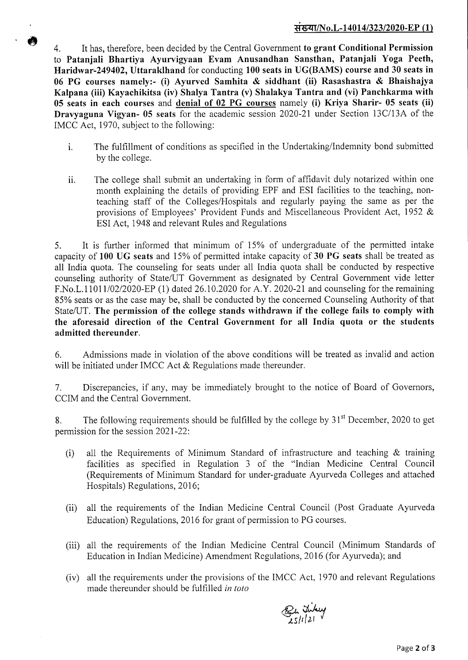## *\*1* **i/No.L-14014/323/2020-EP (1)**

4. It has, therefore, been decided by the Central Government **to grant Conditional Permission to Patanjali Bhartiya Ayurvigyaan Evam Anusandhan Sansthan, Patanjali Yoga Peeth, Haridwar-249402, Uttaraklhand** for conducting **100 seats in UG(BAMS) course and 30 seats in 06 PG courses namely:-** (1) **Ayurved Samhita** & **siddhant (ii) Rasashastra** & **Bhaishajya**  Kalpana (iii) **Kayachikitsa (iv) Shalya Tantra (v) Shalakya Tantra and (vi) Panchkarma with 05 seats in each courses** and **denial of 02 PG courses** namely (i) **Kriya Sharir- 05 seats** (ii) **Dravyaguna Vigyan- 05 seats** for the academic session 2020-21 under Section 13C/13A of the IMCC Act, 1970, subject to the following:

 $\bullet$ 

- i. The fulfillment of conditions as specified in the Undertaking/Indemnity bond submitted by the college.
- ii. The college shall submit an undertaking in form of affidavit duly notarized within one month explaining the details of providing EPF and ESI facilities to the teaching, nonteaching staff of the Colleges/Hospitals and regularly paying the same as per the provisions of Employees' Provident Funds and Miscellaneous Provident Act, *1952 &*  ESI Act, 1948 and relevant Rules and Regulations

*5.* It is further informed that minimum of *15%* of undergraduate of the permitted intake capacity of **100 UG seats** and 15% of permitted intake capacity of **30 PG seats** shall be treated as all India quota. The counseling for seats under all India quota shall be conducted by respective counseling authority of State/UT Government as designated by Central Government vide letter F.No.L.1101 1/02/2020-EP (1) dated 26.10.2020 for A.Y. 2020-21 and counseling for the remaining 85% seats or as the case may be, shall be conducted by the concerned Counseling Authority of that State/UT. **The permission of the college stands withdrawn if the college fails to comply with the aforesaid direction of the Central Government for all India quota or the students admitted thereunder.** 

6. Admissions made in violation of the above conditions will be treated as invalid and action will be initiated under IMCC Act & Regulations made thereunder.

7. Discrepancies, if any, may be immediately brought to the notice of Board of Governors, CCIM and the Central Government.

8. The following requirements should be fulfilled by the college by  $31<sup>st</sup>$  December, 2020 to get permission for the session 2021-22:

- (i) all the Requirements of Minimum Standard of infrastructure and teaching & training facilities as specified in Regulation *3* of the "Indian Medicine Central Council (Requirements of Minimum Standard for under-graduate Ayurveda Colleges and attached Hospitals) Regulations, 2016;
- (ii) all the requirements of the Indian Medicine Central Council (Post Graduate Ayurveda Education) Regulations, 2016 for grant of permission to PG courses.
- (iii) all the requirements of the Indian Medicine Central Council (Minimum Standards of Education in Indian Medicine) Amendment Regulations, 2016 (for Ayurveda); and
- (iv) all the requirements under the provisions of the IMCC Act, 1970 and relevant Regulations made thereunder should be fulfilled in toto

Butikey